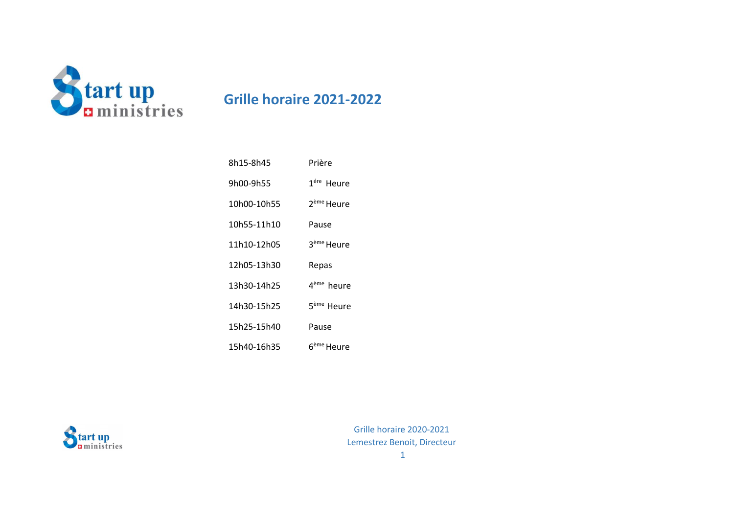

## **Grille horaire 2021-2022**

| 8h15-8h45   | Prière                 |
|-------------|------------------------|
| 9h00-9h55   | 1 <sup>ére</sup> Heure |
| 10h00-10h55 | 2 <sup>ème</sup> Heure |
| 10h55-11h10 | Pause                  |
| 11h10-12h05 | 3 <sup>ème</sup> Heure |
| 12h05-13h30 | Repas                  |
| 13h30-14h25 | 4 <sup>ème</sup> heure |
| 14h30-15h25 | 5 <sup>ème</sup> Heure |
| 15h25-15h40 | Pause                  |
| 15h40-16h35 | ნ <sup>ème</sup> Heure |

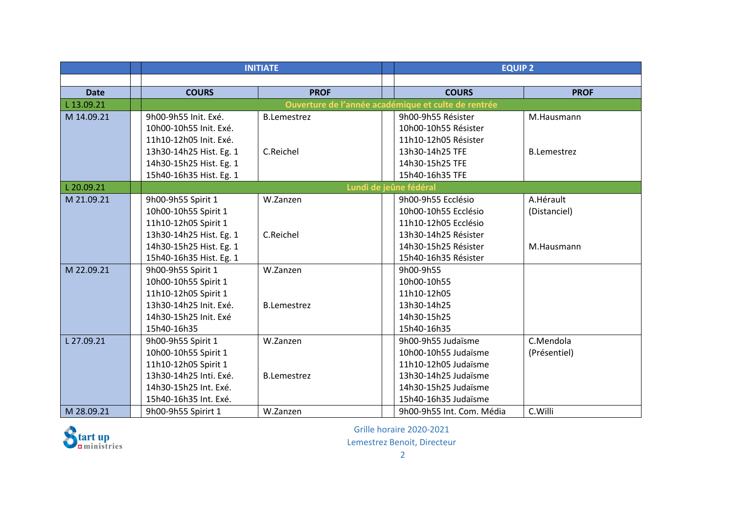|             |                         | <b>INITIATE</b>    |  | <b>EQUIP 2</b>                                      |                    |
|-------------|-------------------------|--------------------|--|-----------------------------------------------------|--------------------|
|             |                         |                    |  |                                                     |                    |
| <b>Date</b> | <b>COURS</b>            | <b>PROF</b>        |  | <b>COURS</b>                                        | <b>PROF</b>        |
| L 13.09.21  |                         |                    |  | Ouverture de l'année académique et culte de rentrée |                    |
| M 14.09.21  | 9h00-9h55 Init. Exé.    | <b>B.Lemestrez</b> |  | 9h00-9h55 Résister                                  | M.Hausmann         |
|             | 10h00-10h55 Init. Exé.  |                    |  | 10h00-10h55 Résister                                |                    |
|             | 11h10-12h05 Init. Exé.  |                    |  | 11h10-12h05 Résister                                |                    |
|             | 13h30-14h25 Hist. Eg. 1 | C.Reichel          |  | 13h30-14h25 TFE                                     | <b>B.Lemestrez</b> |
|             | 14h30-15h25 Hist. Eg. 1 |                    |  | 14h30-15h25 TFE                                     |                    |
|             | 15h40-16h35 Hist. Eg. 1 |                    |  | 15h40-16h35 TFE                                     |                    |
| L 20.09.21  |                         |                    |  | Lundi de jeûne fédéral                              |                    |
| M 21.09.21  | 9h00-9h55 Spirit 1      | W.Zanzen           |  | 9h00-9h55 Ecclésio                                  | A.Hérault          |
|             | 10h00-10h55 Spirit 1    |                    |  | 10h00-10h55 Ecclésio                                | (Distanciel)       |
|             | 11h10-12h05 Spirit 1    |                    |  | 11h10-12h05 Ecclésio                                |                    |
|             | 13h30-14h25 Hist. Eg. 1 | C.Reichel          |  | 13h30-14h25 Résister                                |                    |
|             | 14h30-15h25 Hist. Eg. 1 |                    |  | 14h30-15h25 Résister                                | M.Hausmann         |
|             | 15h40-16h35 Hist. Eg. 1 |                    |  | 15h40-16h35 Résister                                |                    |
| M 22.09.21  | 9h00-9h55 Spirit 1      | W.Zanzen           |  | 9h00-9h55                                           |                    |
|             | 10h00-10h55 Spirit 1    |                    |  | 10h00-10h55                                         |                    |
|             | 11h10-12h05 Spirit 1    |                    |  | 11h10-12h05                                         |                    |
|             | 13h30-14h25 Init. Exé.  | <b>B.Lemestrez</b> |  | 13h30-14h25                                         |                    |
|             | 14h30-15h25 Init. Exé   |                    |  | 14h30-15h25                                         |                    |
|             | 15h40-16h35             |                    |  | 15h40-16h35                                         |                    |
| L 27.09.21  | 9h00-9h55 Spirit 1      | W.Zanzen           |  | 9h00-9h55 Judaïsme                                  | C.Mendola          |
|             | 10h00-10h55 Spirit 1    |                    |  | 10h00-10h55 Judaïsme                                | (Présentiel)       |
|             | 11h10-12h05 Spirit 1    |                    |  | 11h10-12h05 Judaïsme                                |                    |
|             | 13h30-14h25 Inti. Exé.  | <b>B.Lemestrez</b> |  | 13h30-14h25 Judaïsme                                |                    |
|             | 14h30-15h25 Int. Exé.   |                    |  | 14h30-15h25 Judaïsme                                |                    |
|             | 15h40-16h35 Int. Exé.   |                    |  | 15h40-16h35 Judaïsme                                |                    |
| M 28.09.21  | 9h00-9h55 Spirirt 1     | W.Zanzen           |  | 9h00-9h55 Int. Com. Média                           | C.Willi            |



Grille horaire 2020-2021

Lemestrez Benoit, Directeur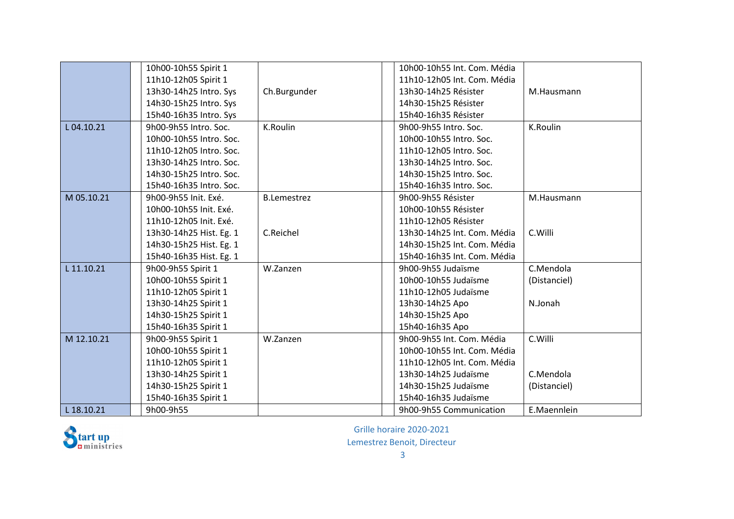|            | 10h00-10h55 Spirit 1    |                    | 10h00-10h55 Int. Com. Média |              |
|------------|-------------------------|--------------------|-----------------------------|--------------|
|            | 11h10-12h05 Spirit 1    |                    | 11h10-12h05 Int. Com. Média |              |
|            | 13h30-14h25 Intro. Sys  | Ch.Burgunder       | 13h30-14h25 Résister        | M.Hausmann   |
|            | 14h30-15h25 Intro. Sys  |                    | 14h30-15h25 Résister        |              |
|            | 15h40-16h35 Intro. Sys  |                    | 15h40-16h35 Résister        |              |
| L04.10.21  | 9h00-9h55 Intro. Soc.   | K.Roulin           | 9h00-9h55 Intro. Soc.       | K.Roulin     |
|            | 10h00-10h55 Intro. Soc. |                    | 10h00-10h55 Intro. Soc.     |              |
|            | 11h10-12h05 Intro. Soc. |                    | 11h10-12h05 Intro. Soc.     |              |
|            | 13h30-14h25 Intro. Soc. |                    | 13h30-14h25 Intro. Soc.     |              |
|            | 14h30-15h25 Intro. Soc. |                    | 14h30-15h25 Intro. Soc.     |              |
|            | 15h40-16h35 Intro. Soc. |                    | 15h40-16h35 Intro. Soc.     |              |
| M 05.10.21 | 9h00-9h55 Init. Exé.    | <b>B.Lemestrez</b> | 9h00-9h55 Résister          | M.Hausmann   |
|            | 10h00-10h55 Init. Exé.  |                    | 10h00-10h55 Résister        |              |
|            | 11h10-12h05 Init. Exé.  |                    | 11h10-12h05 Résister        |              |
|            | 13h30-14h25 Hist. Eg. 1 | C.Reichel          | 13h30-14h25 Int. Com. Média | C.Willi      |
|            | 14h30-15h25 Hist. Eg. 1 |                    | 14h30-15h25 Int. Com. Média |              |
|            | 15h40-16h35 Hist. Eg. 1 |                    | 15h40-16h35 Int. Com. Média |              |
| L 11.10.21 | 9h00-9h55 Spirit 1      | W.Zanzen           | 9h00-9h55 Judaïsme          | C.Mendola    |
|            | 10h00-10h55 Spirit 1    |                    | 10h00-10h55 Judaïsme        | (Distanciel) |
|            | 11h10-12h05 Spirit 1    |                    | 11h10-12h05 Judaïsme        |              |
|            | 13h30-14h25 Spirit 1    |                    | 13h30-14h25 Apo             | N.Jonah      |
|            | 14h30-15h25 Spirit 1    |                    | 14h30-15h25 Apo             |              |
|            | 15h40-16h35 Spirit 1    |                    | 15h40-16h35 Apo             |              |
| M 12.10.21 | 9h00-9h55 Spirit 1      | W.Zanzen           | 9h00-9h55 Int. Com. Média   | C.Willi      |
|            | 10h00-10h55 Spirit 1    |                    | 10h00-10h55 Int. Com. Média |              |
|            | 11h10-12h05 Spirit 1    |                    | 11h10-12h05 Int. Com. Média |              |
|            | 13h30-14h25 Spirit 1    |                    | 13h30-14h25 Judaïsme        | C.Mendola    |
|            | 14h30-15h25 Spirit 1    |                    | 14h30-15h25 Judaïsme        | (Distanciel) |
|            | 15h40-16h35 Spirit 1    |                    | 15h40-16h35 Judaïsme        |              |
| L 18.10.21 | 9h00-9h55               |                    | 9h00-9h55 Communication     | E.Maennlein  |



Grille horaire 2020-2021

Lemestrez Benoit, Directeur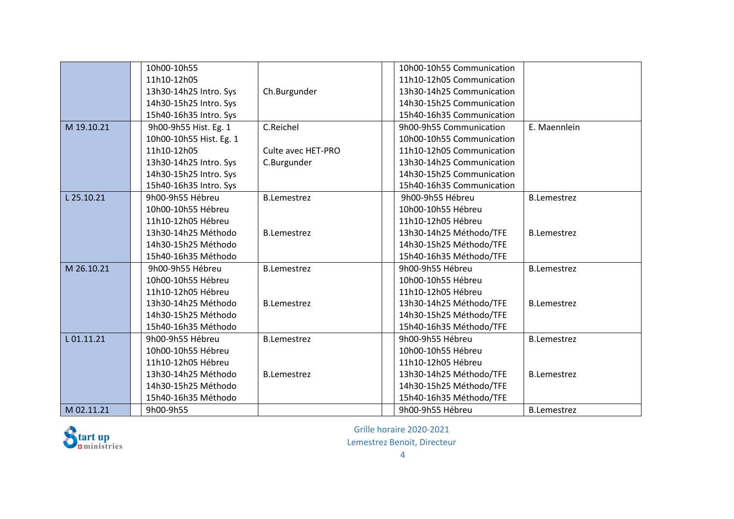|            | 10h00-10h55             |                    | 10h00-10h55 Communication |                    |
|------------|-------------------------|--------------------|---------------------------|--------------------|
|            | 11h10-12h05             |                    | 11h10-12h05 Communication |                    |
|            | 13h30-14h25 Intro. Sys  | Ch.Burgunder       | 13h30-14h25 Communication |                    |
|            | 14h30-15h25 Intro. Sys  |                    | 14h30-15h25 Communication |                    |
|            | 15h40-16h35 Intro. Sys  |                    | 15h40-16h35 Communication |                    |
| M 19.10.21 | 9h00-9h55 Hist. Eg. 1   | C.Reichel          | 9h00-9h55 Communication   | E. Maennlein       |
|            | 10h00-10h55 Hist. Eg. 1 |                    | 10h00-10h55 Communication |                    |
|            | 11h10-12h05             | Culte avec HET-PRO | 11h10-12h05 Communication |                    |
|            | 13h30-14h25 Intro. Sys  | C.Burgunder        | 13h30-14h25 Communication |                    |
|            | 14h30-15h25 Intro. Sys  |                    | 14h30-15h25 Communication |                    |
|            | 15h40-16h35 Intro. Sys  |                    | 15h40-16h35 Communication |                    |
| L 25.10.21 | 9h00-9h55 Hébreu        | <b>B.Lemestrez</b> | 9h00-9h55 Hébreu          | <b>B.Lemestrez</b> |
|            | 10h00-10h55 Hébreu      |                    | 10h00-10h55 Hébreu        |                    |
|            | 11h10-12h05 Hébreu      |                    | 11h10-12h05 Hébreu        |                    |
|            | 13h30-14h25 Méthodo     | <b>B.Lemestrez</b> | 13h30-14h25 Méthodo/TFE   | <b>B.Lemestrez</b> |
|            | 14h30-15h25 Méthodo     |                    | 14h30-15h25 Méthodo/TFE   |                    |
|            | 15h40-16h35 Méthodo     |                    | 15h40-16h35 Méthodo/TFE   |                    |
| M 26.10.21 | 9h00-9h55 Hébreu        | <b>B.Lemestrez</b> | 9h00-9h55 Hébreu          | <b>B.Lemestrez</b> |
|            | 10h00-10h55 Hébreu      |                    | 10h00-10h55 Hébreu        |                    |
|            | 11h10-12h05 Hébreu      |                    | 11h10-12h05 Hébreu        |                    |
|            | 13h30-14h25 Méthodo     | <b>B.Lemestrez</b> | 13h30-14h25 Méthodo/TFE   | <b>B.Lemestrez</b> |
|            | 14h30-15h25 Méthodo     |                    | 14h30-15h25 Méthodo/TFE   |                    |
|            | 15h40-16h35 Méthodo     |                    | 15h40-16h35 Méthodo/TFE   |                    |
| L01.11.21  | 9h00-9h55 Hébreu        | <b>B.Lemestrez</b> | 9h00-9h55 Hébreu          | <b>B.Lemestrez</b> |
|            | 10h00-10h55 Hébreu      |                    | 10h00-10h55 Hébreu        |                    |
|            | 11h10-12h05 Hébreu      |                    | 11h10-12h05 Hébreu        |                    |
|            | 13h30-14h25 Méthodo     | <b>B.Lemestrez</b> | 13h30-14h25 Méthodo/TFE   | <b>B.Lemestrez</b> |
|            | 14h30-15h25 Méthodo     |                    | 14h30-15h25 Méthodo/TFE   |                    |
|            | 15h40-16h35 Méthodo     |                    | 15h40-16h35 Méthodo/TFE   |                    |
| M 02.11.21 | 9h00-9h55               |                    | 9h00-9h55 Hébreu          | <b>B.Lemestrez</b> |

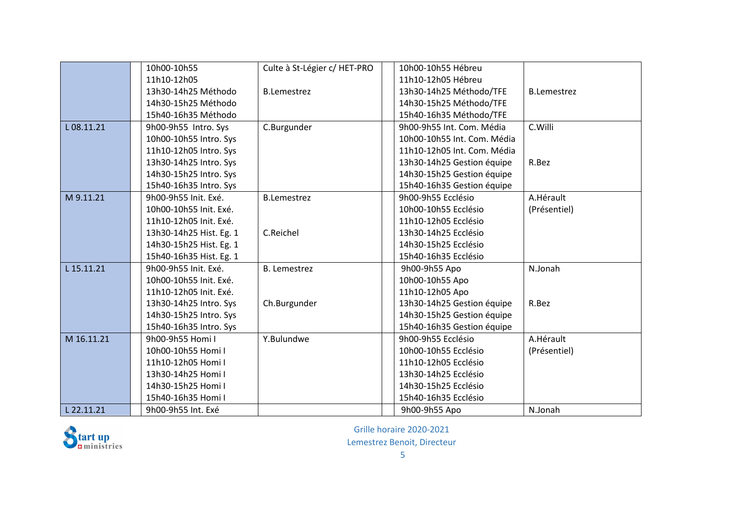|            | 10h00-10h55             | Culte à St-Légier c/ HET-PRO | 10h00-10h55 Hébreu          |                    |
|------------|-------------------------|------------------------------|-----------------------------|--------------------|
|            | 11h10-12h05             |                              | 11h10-12h05 Hébreu          |                    |
|            | 13h30-14h25 Méthodo     | <b>B.Lemestrez</b>           | 13h30-14h25 Méthodo/TFE     | <b>B.Lemestrez</b> |
|            | 14h30-15h25 Méthodo     |                              | 14h30-15h25 Méthodo/TFE     |                    |
|            | 15h40-16h35 Méthodo     |                              | 15h40-16h35 Méthodo/TFE     |                    |
| L08.11.21  | 9h00-9h55 Intro. Sys    | C.Burgunder                  | 9h00-9h55 Int. Com. Média   | C.Willi            |
|            | 10h00-10h55 Intro. Sys  |                              | 10h00-10h55 Int. Com. Média |                    |
|            | 11h10-12h05 Intro. Sys  |                              | 11h10-12h05 Int. Com. Média |                    |
|            | 13h30-14h25 Intro. Sys  |                              | 13h30-14h25 Gestion équipe  | R.Bez              |
|            | 14h30-15h25 Intro. Sys  |                              | 14h30-15h25 Gestion équipe  |                    |
|            | 15h40-16h35 Intro. Sys  |                              | 15h40-16h35 Gestion équipe  |                    |
| M 9.11.21  | 9h00-9h55 Init. Exé.    | <b>B.Lemestrez</b>           | 9h00-9h55 Ecclésio          | A.Hérault          |
|            | 10h00-10h55 Init. Exé.  |                              | 10h00-10h55 Ecclésio        | (Présentiel)       |
|            | 11h10-12h05 Init. Exé.  |                              | 11h10-12h05 Ecclésio        |                    |
|            | 13h30-14h25 Hist. Eg. 1 | C.Reichel                    | 13h30-14h25 Ecclésio        |                    |
|            | 14h30-15h25 Hist. Eg. 1 |                              | 14h30-15h25 Ecclésio        |                    |
|            | 15h40-16h35 Hist. Eg. 1 |                              | 15h40-16h35 Ecclésio        |                    |
| L 15.11.21 | 9h00-9h55 Init. Exé.    | <b>B.</b> Lemestrez          | 9h00-9h55 Apo               | N.Jonah            |
|            | 10h00-10h55 Init. Exé.  |                              | 10h00-10h55 Apo             |                    |
|            | 11h10-12h05 Init. Exé.  |                              | 11h10-12h05 Apo             |                    |
|            | 13h30-14h25 Intro. Sys  | Ch.Burgunder                 | 13h30-14h25 Gestion équipe  | R.Bez              |
|            | 14h30-15h25 Intro. Sys  |                              | 14h30-15h25 Gestion équipe  |                    |
|            | 15h40-16h35 Intro. Sys  |                              | 15h40-16h35 Gestion équipe  |                    |
| M 16.11.21 | 9h00-9h55 Homi I        | Y.Bulundwe                   | 9h00-9h55 Ecclésio          | A.Hérault          |
|            | 10h00-10h55 Homi I      |                              | 10h00-10h55 Ecclésio        | (Présentiel)       |
|            | 11h10-12h05 Homi I      |                              | 11h10-12h05 Ecclésio        |                    |
|            | 13h30-14h25 Homi I      |                              | 13h30-14h25 Ecclésio        |                    |
|            | 14h30-15h25 Homi I      |                              | 14h30-15h25 Ecclésio        |                    |
|            | 15h40-16h35 Homi I      |                              | 15h40-16h35 Ecclésio        |                    |
| L 22.11.21 | 9h00-9h55 Int. Exé      |                              | 9h00-9h55 Apo               | N.Jonah            |

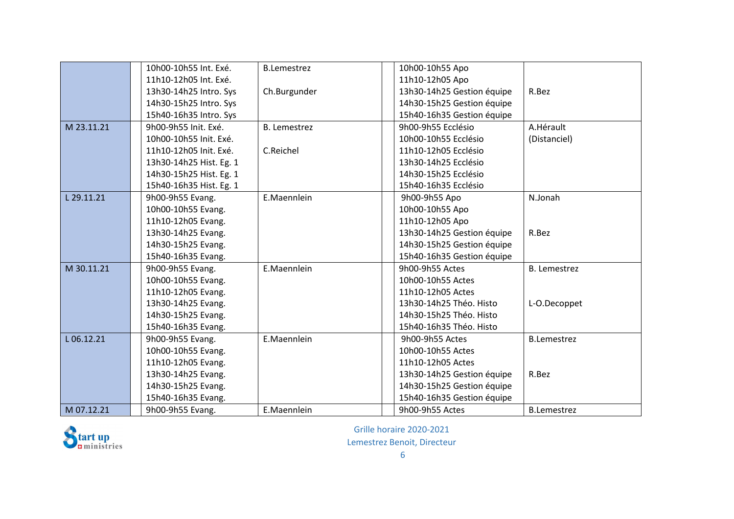|            | 10h00-10h55 Int. Exé.   | <b>B.Lemestrez</b>  | 10h00-10h55 Apo            |                     |
|------------|-------------------------|---------------------|----------------------------|---------------------|
|            | 11h10-12h05 Int. Exé.   |                     | 11h10-12h05 Apo            |                     |
|            | 13h30-14h25 Intro. Sys  | Ch.Burgunder        | 13h30-14h25 Gestion équipe | R.Bez               |
|            | 14h30-15h25 Intro. Sys  |                     | 14h30-15h25 Gestion équipe |                     |
|            | 15h40-16h35 Intro. Sys  |                     | 15h40-16h35 Gestion équipe |                     |
| M 23.11.21 | 9h00-9h55 Init, Exé.    | <b>B.</b> Lemestrez | 9h00-9h55 Ecclésio         | A.Hérault           |
|            | 10h00-10h55 Init. Exé.  |                     | 10h00-10h55 Ecclésio       | (Distanciel)        |
|            | 11h10-12h05 Init. Exé.  | C.Reichel           | 11h10-12h05 Ecclésio       |                     |
|            | 13h30-14h25 Hist. Eg. 1 |                     | 13h30-14h25 Ecclésio       |                     |
|            | 14h30-15h25 Hist. Eg. 1 |                     | 14h30-15h25 Ecclésio       |                     |
|            | 15h40-16h35 Hist. Eg. 1 |                     | 15h40-16h35 Ecclésio       |                     |
| L 29.11.21 | 9h00-9h55 Evang.        | E.Maennlein         | 9h00-9h55 Apo              | N.Jonah             |
|            | 10h00-10h55 Evang.      |                     | 10h00-10h55 Apo            |                     |
|            | 11h10-12h05 Evang.      |                     | 11h10-12h05 Apo            |                     |
|            | 13h30-14h25 Evang.      |                     | 13h30-14h25 Gestion équipe | R.Bez               |
|            | 14h30-15h25 Evang.      |                     | 14h30-15h25 Gestion équipe |                     |
|            | 15h40-16h35 Evang.      |                     | 15h40-16h35 Gestion équipe |                     |
| M 30.11.21 | 9h00-9h55 Evang.        | E.Maennlein         | 9h00-9h55 Actes            | <b>B.</b> Lemestrez |
|            | 10h00-10h55 Evang.      |                     | 10h00-10h55 Actes          |                     |
|            | 11h10-12h05 Evang.      |                     | 11h10-12h05 Actes          |                     |
|            | 13h30-14h25 Evang.      |                     | 13h30-14h25 Théo. Histo    | L-O.Decoppet        |
|            | 14h30-15h25 Evang.      |                     | 14h30-15h25 Théo. Histo    |                     |
|            | 15h40-16h35 Evang.      |                     | 15h40-16h35 Théo. Histo    |                     |
| L06.12.21  | 9h00-9h55 Evang.        | E.Maennlein         | 9h00-9h55 Actes            | <b>B.Lemestrez</b>  |
|            | 10h00-10h55 Evang.      |                     | 10h00-10h55 Actes          |                     |
|            | 11h10-12h05 Evang.      |                     | 11h10-12h05 Actes          |                     |
|            | 13h30-14h25 Evang.      |                     | 13h30-14h25 Gestion équipe | R.Bez               |
|            | 14h30-15h25 Evang.      |                     | 14h30-15h25 Gestion équipe |                     |
|            | 15h40-16h35 Evang.      |                     | 15h40-16h35 Gestion équipe |                     |
| M 07.12.21 | 9h00-9h55 Evang.        | E.Maennlein         | 9h00-9h55 Actes            | <b>B.Lemestrez</b>  |

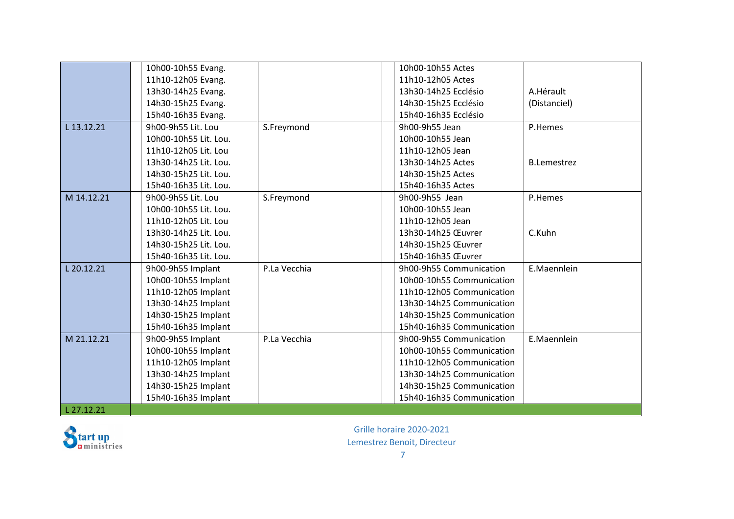|            | 10h00-10h55 Evang.    |              | 10h00-10h55 Actes         |                    |
|------------|-----------------------|--------------|---------------------------|--------------------|
|            | 11h10-12h05 Evang.    |              | 11h10-12h05 Actes         |                    |
|            | 13h30-14h25 Evang.    |              | 13h30-14h25 Ecclésio      | A.Hérault          |
|            | 14h30-15h25 Evang.    |              | 14h30-15h25 Ecclésio      | (Distanciel)       |
|            | 15h40-16h35 Evang.    |              | 15h40-16h35 Ecclésio      |                    |
| L 13.12.21 | 9h00-9h55 Lit. Lou    | S.Freymond   | 9h00-9h55 Jean            | P.Hemes            |
|            | 10h00-10h55 Lit. Lou. |              | 10h00-10h55 Jean          |                    |
|            | 11h10-12h05 Lit. Lou  |              | 11h10-12h05 Jean          |                    |
|            | 13h30-14h25 Lit. Lou. |              | 13h30-14h25 Actes         | <b>B.Lemestrez</b> |
|            | 14h30-15h25 Lit. Lou. |              | 14h30-15h25 Actes         |                    |
|            | 15h40-16h35 Lit. Lou. |              | 15h40-16h35 Actes         |                    |
| M 14.12.21 | 9h00-9h55 Lit. Lou    | S.Freymond   | 9h00-9h55 Jean            | P.Hemes            |
|            | 10h00-10h55 Lit. Lou. |              | 10h00-10h55 Jean          |                    |
|            | 11h10-12h05 Lit. Lou  |              | 11h10-12h05 Jean          |                    |
|            | 13h30-14h25 Lit. Lou. |              | 13h30-14h25 Œuvrer        | C.Kuhn             |
|            | 14h30-15h25 Lit. Lou. |              | 14h30-15h25 Œuvrer        |                    |
|            | 15h40-16h35 Lit. Lou. |              | 15h40-16h35 Œuvrer        |                    |
| L 20.12.21 | 9h00-9h55 Implant     | P.La Vecchia | 9h00-9h55 Communication   | E.Maennlein        |
|            | 10h00-10h55 Implant   |              | 10h00-10h55 Communication |                    |
|            | 11h10-12h05 Implant   |              | 11h10-12h05 Communication |                    |
|            | 13h30-14h25 Implant   |              | 13h30-14h25 Communication |                    |
|            | 14h30-15h25 Implant   |              | 14h30-15h25 Communication |                    |
|            | 15h40-16h35 Implant   |              | 15h40-16h35 Communication |                    |
| M 21.12.21 | 9h00-9h55 Implant     | P.La Vecchia | 9h00-9h55 Communication   | E.Maennlein        |
|            | 10h00-10h55 Implant   |              | 10h00-10h55 Communication |                    |
|            | 11h10-12h05 Implant   |              | 11h10-12h05 Communication |                    |
|            | 13h30-14h25 Implant   |              | 13h30-14h25 Communication |                    |
|            | 14h30-15h25 Implant   |              | 14h30-15h25 Communication |                    |
|            | 15h40-16h35 Implant   |              | 15h40-16h35 Communication |                    |
| L 27.12.21 |                       |              |                           |                    |

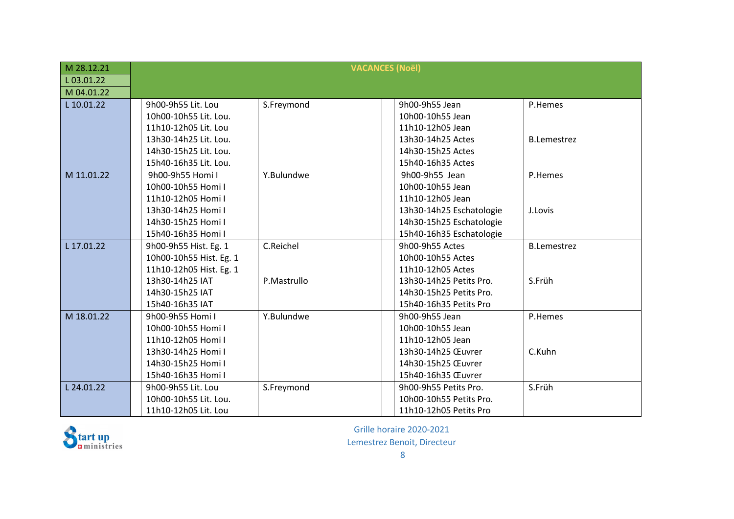| M 28.12.21 | <b>VACANCES (Noël)</b>  |             |                          |                    |
|------------|-------------------------|-------------|--------------------------|--------------------|
| L03.01.22  |                         |             |                          |                    |
| M 04.01.22 |                         |             |                          |                    |
| L 10.01.22 | 9h00-9h55 Lit. Lou      | S.Freymond  | 9h00-9h55 Jean           | P.Hemes            |
|            | 10h00-10h55 Lit. Lou.   |             | 10h00-10h55 Jean         |                    |
|            | 11h10-12h05 Lit. Lou    |             | 11h10-12h05 Jean         |                    |
|            | 13h30-14h25 Lit. Lou.   |             | 13h30-14h25 Actes        | <b>B.Lemestrez</b> |
|            | 14h30-15h25 Lit. Lou.   |             | 14h30-15h25 Actes        |                    |
|            | 15h40-16h35 Lit. Lou.   |             | 15h40-16h35 Actes        |                    |
| M 11.01.22 | 9h00-9h55 Homi I        | Y.Bulundwe  | 9h00-9h55 Jean           | P.Hemes            |
|            | 10h00-10h55 Homi I      |             | 10h00-10h55 Jean         |                    |
|            | 11h10-12h05 Homi I      |             | 11h10-12h05 Jean         |                    |
|            | 13h30-14h25 Homi I      |             | 13h30-14h25 Eschatologie | J.Lovis            |
|            | 14h30-15h25 Homi I      |             | 14h30-15h25 Eschatologie |                    |
|            | 15h40-16h35 Homi I      |             | 15h40-16h35 Eschatologie |                    |
| L 17.01.22 | 9h00-9h55 Hist. Eg. 1   | C.Reichel   | 9h00-9h55 Actes          | <b>B.Lemestrez</b> |
|            | 10h00-10h55 Hist. Eg. 1 |             | 10h00-10h55 Actes        |                    |
|            | 11h10-12h05 Hist. Eg. 1 |             | 11h10-12h05 Actes        |                    |
|            | 13h30-14h25 IAT         | P.Mastrullo | 13h30-14h25 Petits Pro.  | S.Früh             |
|            | 14h30-15h25 IAT         |             | 14h30-15h25 Petits Pro.  |                    |
|            | 15h40-16h35 IAT         |             | 15h40-16h35 Petits Pro   |                    |
| M 18.01.22 | 9h00-9h55 Homi I        | Y.Bulundwe  | 9h00-9h55 Jean           | P.Hemes            |
|            | 10h00-10h55 Homi I      |             | 10h00-10h55 Jean         |                    |
|            | 11h10-12h05 Homi I      |             | 11h10-12h05 Jean         |                    |
|            | 13h30-14h25 Homi I      |             | 13h30-14h25 Œuvrer       | C.Kuhn             |
|            | 14h30-15h25 Homi I      |             | 14h30-15h25 Œuvrer       |                    |
|            | 15h40-16h35 Homi I      |             | 15h40-16h35 Œuvrer       |                    |
| L 24.01.22 | 9h00-9h55 Lit. Lou      | S.Freymond  | 9h00-9h55 Petits Pro.    | S.Früh             |
|            | 10h00-10h55 Lit. Lou.   |             | 10h00-10h55 Petits Pro.  |                    |
|            | 11h10-12h05 Lit. Lou    |             | 11h10-12h05 Petits Pro   |                    |



Grille horaire 2020-2021

Lemestrez Benoit, Directeur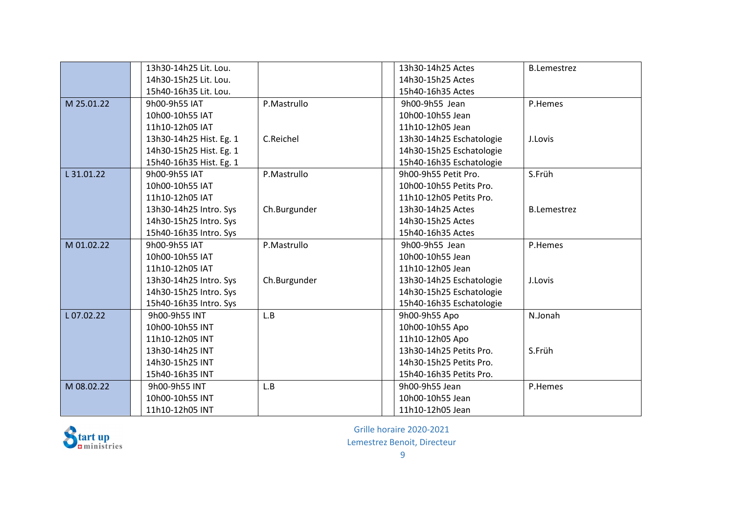|            | 13h30-14h25 Lit. Lou.   |              | 13h30-14h25 Actes        | <b>B.Lemestrez</b> |
|------------|-------------------------|--------------|--------------------------|--------------------|
|            | 14h30-15h25 Lit. Lou.   |              | 14h30-15h25 Actes        |                    |
|            | 15h40-16h35 Lit. Lou.   |              | 15h40-16h35 Actes        |                    |
| M 25.01.22 | 9h00-9h55 IAT           | P.Mastrullo  | 9h00-9h55 Jean           | P.Hemes            |
|            | 10h00-10h55 IAT         |              | 10h00-10h55 Jean         |                    |
|            | 11h10-12h05 IAT         |              | 11h10-12h05 Jean         |                    |
|            | 13h30-14h25 Hist. Eg. 1 | C.Reichel    | 13h30-14h25 Eschatologie | J.Lovis            |
|            | 14h30-15h25 Hist. Eg. 1 |              | 14h30-15h25 Eschatologie |                    |
|            | 15h40-16h35 Hist. Eg. 1 |              | 15h40-16h35 Eschatologie |                    |
| L 31.01.22 | 9h00-9h55 IAT           | P.Mastrullo  | 9h00-9h55 Petit Pro.     | S.Früh             |
|            | 10h00-10h55 IAT         |              | 10h00-10h55 Petits Pro.  |                    |
|            | 11h10-12h05 IAT         |              | 11h10-12h05 Petits Pro.  |                    |
|            | 13h30-14h25 Intro. Sys  | Ch.Burgunder | 13h30-14h25 Actes        | <b>B.Lemestrez</b> |
|            | 14h30-15h25 Intro. Sys  |              | 14h30-15h25 Actes        |                    |
|            | 15h40-16h35 Intro. Sys  |              | 15h40-16h35 Actes        |                    |
| M 01.02.22 | 9h00-9h55 IAT           | P.Mastrullo  | 9h00-9h55 Jean           | P.Hemes            |
|            | 10h00-10h55 IAT         |              | 10h00-10h55 Jean         |                    |
|            | 11h10-12h05 IAT         |              | 11h10-12h05 Jean         |                    |
|            | 13h30-14h25 Intro. Sys  | Ch.Burgunder | 13h30-14h25 Eschatologie | J.Lovis            |
|            | 14h30-15h25 Intro. Sys  |              | 14h30-15h25 Eschatologie |                    |
|            | 15h40-16h35 Intro. Sys  |              | 15h40-16h35 Eschatologie |                    |
| L07.02.22  | 9h00-9h55 INT           | L.B          | 9h00-9h55 Apo            | N.Jonah            |
|            | 10h00-10h55 INT         |              | 10h00-10h55 Apo          |                    |
|            | 11h10-12h05 INT         |              | 11h10-12h05 Apo          |                    |
|            | 13h30-14h25 INT         |              | 13h30-14h25 Petits Pro.  | S.Früh             |
|            | 14h30-15h25 INT         |              | 14h30-15h25 Petits Pro.  |                    |
|            | 15h40-16h35 INT         |              | 15h40-16h35 Petits Pro.  |                    |
| M 08.02.22 | 9h00-9h55 INT           | L.B          | 9h00-9h55 Jean           | P.Hemes            |
|            | 10h00-10h55 INT         |              | 10h00-10h55 Jean         |                    |
|            | 11h10-12h05 INT         |              | 11h10-12h05 Jean         |                    |

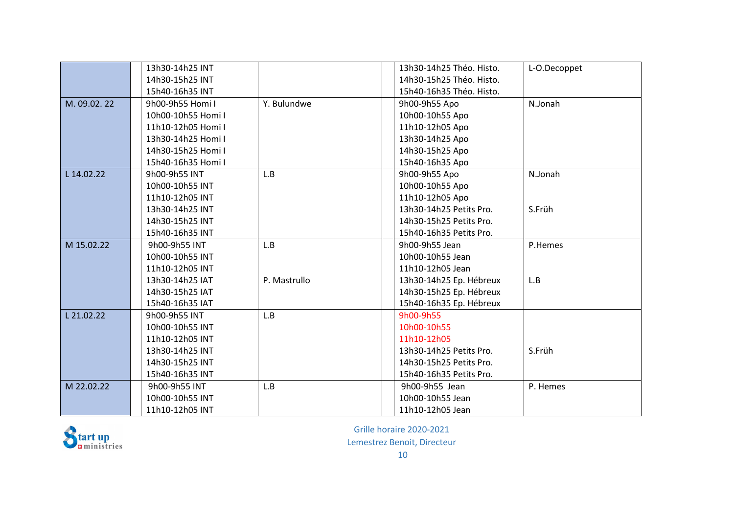|             | 13h30-14h25 INT    |              | 13h30-14h25 Théo. Histo. | L-O.Decoppet |
|-------------|--------------------|--------------|--------------------------|--------------|
|             | 14h30-15h25 INT    |              | 14h30-15h25 Théo. Histo. |              |
|             | 15h40-16h35 INT    |              | 15h40-16h35 Théo. Histo. |              |
| M. 09.02.22 | 9h00-9h55 Homi I   | Y. Bulundwe  | 9h00-9h55 Apo            | N.Jonah      |
|             | 10h00-10h55 Homi I |              | 10h00-10h55 Apo          |              |
|             | 11h10-12h05 Homi I |              | 11h10-12h05 Apo          |              |
|             | 13h30-14h25 Homi I |              | 13h30-14h25 Apo          |              |
|             | 14h30-15h25 Homi I |              | 14h30-15h25 Apo          |              |
|             | 15h40-16h35 Homi I |              | 15h40-16h35 Apo          |              |
| L 14.02.22  | 9h00-9h55 INT      | L.B          | 9h00-9h55 Apo            | N.Jonah      |
|             | 10h00-10h55 INT    |              | 10h00-10h55 Apo          |              |
|             | 11h10-12h05 INT    |              | 11h10-12h05 Apo          |              |
|             | 13h30-14h25 INT    |              | 13h30-14h25 Petits Pro.  | S.Früh       |
|             | 14h30-15h25 INT    |              | 14h30-15h25 Petits Pro.  |              |
|             | 15h40-16h35 INT    |              | 15h40-16h35 Petits Pro.  |              |
| M 15.02.22  | 9h00-9h55 INT      | L.B          | 9h00-9h55 Jean           | P.Hemes      |
|             | 10h00-10h55 INT    |              | 10h00-10h55 Jean         |              |
|             | 11h10-12h05 INT    |              | 11h10-12h05 Jean         |              |
|             | 13h30-14h25 IAT    | P. Mastrullo | 13h30-14h25 Ep. Hébreux  | L.B          |
|             | 14h30-15h25 IAT    |              | 14h30-15h25 Ep. Hébreux  |              |
|             | 15h40-16h35 IAT    |              | 15h40-16h35 Ep. Hébreux  |              |
| L 21.02.22  | 9h00-9h55 INT      | L.B          | 9h00-9h55                |              |
|             | 10h00-10h55 INT    |              | 10h00-10h55              |              |
|             | 11h10-12h05 INT    |              | 11h10-12h05              |              |
|             | 13h30-14h25 INT    |              | 13h30-14h25 Petits Pro.  | S.Früh       |
|             | 14h30-15h25 INT    |              | 14h30-15h25 Petits Pro.  |              |
|             | 15h40-16h35 INT    |              | 15h40-16h35 Petits Pro.  |              |
| M 22.02.22  | 9h00-9h55 INT      | L.B          | 9h00-9h55 Jean           | P. Hemes     |
|             | 10h00-10h55 INT    |              | 10h00-10h55 Jean         |              |
|             | 11h10-12h05 INT    |              | 11h10-12h05 Jean         |              |

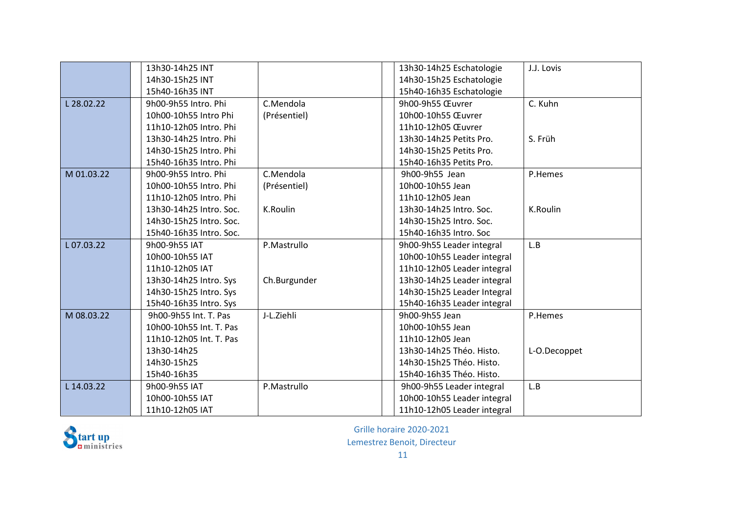|            | 13h30-14h25 INT         |              | 13h30-14h25 Eschatologie    | J.J. Lovis   |
|------------|-------------------------|--------------|-----------------------------|--------------|
|            | 14h30-15h25 INT         |              | 14h30-15h25 Eschatologie    |              |
|            | 15h40-16h35 INT         |              | 15h40-16h35 Eschatologie    |              |
| L 28.02.22 | 9h00-9h55 Intro. Phi    | C.Mendola    | 9h00-9h55 Œuvrer            | C. Kuhn      |
|            | 10h00-10h55 Intro Phi   | (Présentiel) | 10h00-10h55 Œuvrer          |              |
|            | 11h10-12h05 Intro. Phi  |              | 11h10-12h05 Œuvrer          |              |
|            | 13h30-14h25 Intro. Phi  |              | 13h30-14h25 Petits Pro.     | S. Früh      |
|            | 14h30-15h25 Intro. Phi  |              | 14h30-15h25 Petits Pro.     |              |
|            | 15h40-16h35 Intro, Phi  |              | 15h40-16h35 Petits Pro.     |              |
| M 01.03.22 | 9h00-9h55 Intro. Phi    | C.Mendola    | 9h00-9h55 Jean              | P.Hemes      |
|            | 10h00-10h55 Intro, Phi  | (Présentiel) | 10h00-10h55 Jean            |              |
|            | 11h10-12h05 Intro. Phi  |              | 11h10-12h05 Jean            |              |
|            | 13h30-14h25 Intro. Soc. | K.Roulin     | 13h30-14h25 Intro. Soc.     | K.Roulin     |
|            | 14h30-15h25 Intro. Soc. |              | 14h30-15h25 Intro. Soc.     |              |
|            | 15h40-16h35 Intro. Soc. |              | 15h40-16h35 Intro. Soc      |              |
| L07.03.22  | 9h00-9h55 IAT           | P.Mastrullo  | 9h00-9h55 Leader integral   | L.B          |
|            | 10h00-10h55 IAT         |              | 10h00-10h55 Leader integral |              |
|            | 11h10-12h05 IAT         |              | 11h10-12h05 Leader integral |              |
|            | 13h30-14h25 Intro. Sys  | Ch.Burgunder | 13h30-14h25 Leader integral |              |
|            | 14h30-15h25 Intro. Sys  |              | 14h30-15h25 Leader Integral |              |
|            | 15h40-16h35 Intro. Sys  |              | 15h40-16h35 Leader integral |              |
| M 08.03.22 | 9h00-9h55 Int. T. Pas   | J-L.Ziehli   | 9h00-9h55 Jean              | P.Hemes      |
|            | 10h00-10h55 Int. T. Pas |              | 10h00-10h55 Jean            |              |
|            | 11h10-12h05 Int. T. Pas |              | 11h10-12h05 Jean            |              |
|            | 13h30-14h25             |              | 13h30-14h25 Théo. Histo.    | L-O.Decoppet |
|            | 14h30-15h25             |              | 14h30-15h25 Théo. Histo.    |              |
|            | 15h40-16h35             |              | 15h40-16h35 Théo. Histo.    |              |
| L 14.03.22 | 9h00-9h55 IAT           | P.Mastrullo  | 9h00-9h55 Leader integral   | L.B          |
|            | 10h00-10h55 IAT         |              | 10h00-10h55 Leader integral |              |
|            | 11h10-12h05 IAT         |              | 11h10-12h05 Leader integral |              |



11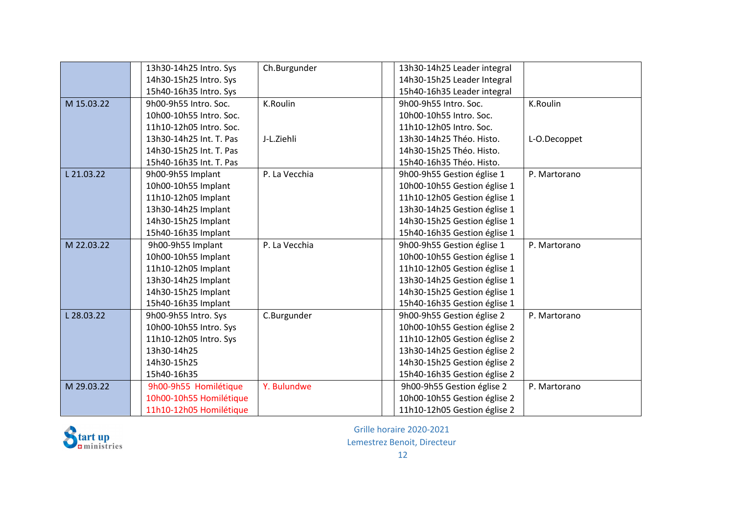|            | 13h30-14h25 Intro. Sys  | Ch.Burgunder    | 13h30-14h25 Leader integral  |              |
|------------|-------------------------|-----------------|------------------------------|--------------|
|            | 14h30-15h25 Intro. Sys  |                 | 14h30-15h25 Leader Integral  |              |
|            | 15h40-16h35 Intro. Sys  |                 | 15h40-16h35 Leader integral  |              |
| M 15.03.22 | 9h00-9h55 Intro. Soc.   | <b>K.Roulin</b> | 9h00-9h55 Intro. Soc.        | K.Roulin     |
|            | 10h00-10h55 Intro. Soc. |                 | 10h00-10h55 Intro. Soc.      |              |
|            | 11h10-12h05 Intro. Soc. |                 | 11h10-12h05 Intro. Soc.      |              |
|            | 13h30-14h25 Int. T. Pas | J-L.Ziehli      | 13h30-14h25 Théo. Histo.     | L-O.Decoppet |
|            | 14h30-15h25 Int. T. Pas |                 | 14h30-15h25 Théo. Histo.     |              |
|            | 15h40-16h35 Int. T. Pas |                 | 15h40-16h35 Théo. Histo.     |              |
| L 21.03.22 | 9h00-9h55 Implant       | P. La Vecchia   | 9h00-9h55 Gestion église 1   | P. Martorano |
|            | 10h00-10h55 Implant     |                 | 10h00-10h55 Gestion église 1 |              |
|            | 11h10-12h05 Implant     |                 | 11h10-12h05 Gestion église 1 |              |
|            | 13h30-14h25 Implant     |                 | 13h30-14h25 Gestion église 1 |              |
|            | 14h30-15h25 Implant     |                 | 14h30-15h25 Gestion église 1 |              |
|            | 15h40-16h35 Implant     |                 | 15h40-16h35 Gestion église 1 |              |
| M 22.03.22 | 9h00-9h55 Implant       | P. La Vecchia   | 9h00-9h55 Gestion église 1   | P. Martorano |
|            | 10h00-10h55 Implant     |                 | 10h00-10h55 Gestion église 1 |              |
|            | 11h10-12h05 Implant     |                 | 11h10-12h05 Gestion église 1 |              |
|            | 13h30-14h25 Implant     |                 | 13h30-14h25 Gestion église 1 |              |
|            | 14h30-15h25 Implant     |                 | 14h30-15h25 Gestion église 1 |              |
|            | 15h40-16h35 Implant     |                 | 15h40-16h35 Gestion église 1 |              |
| L 28.03.22 | 9h00-9h55 Intro. Sys    | C.Burgunder     | 9h00-9h55 Gestion église 2   | P. Martorano |
|            | 10h00-10h55 Intro. Sys  |                 | 10h00-10h55 Gestion église 2 |              |
|            | 11h10-12h05 Intro. Sys  |                 | 11h10-12h05 Gestion église 2 |              |
|            | 13h30-14h25             |                 | 13h30-14h25 Gestion église 2 |              |
|            | 14h30-15h25             |                 | 14h30-15h25 Gestion église 2 |              |
|            | 15h40-16h35             |                 | 15h40-16h35 Gestion église 2 |              |
| M 29.03.22 | 9h00-9h55 Homilétique   | Y. Bulundwe     | 9h00-9h55 Gestion église 2   | P. Martorano |
|            | 10h00-10h55 Homilétique |                 | 10h00-10h55 Gestion église 2 |              |
|            | 11h10-12h05 Homilétique |                 | 11h10-12h05 Gestion église 2 |              |

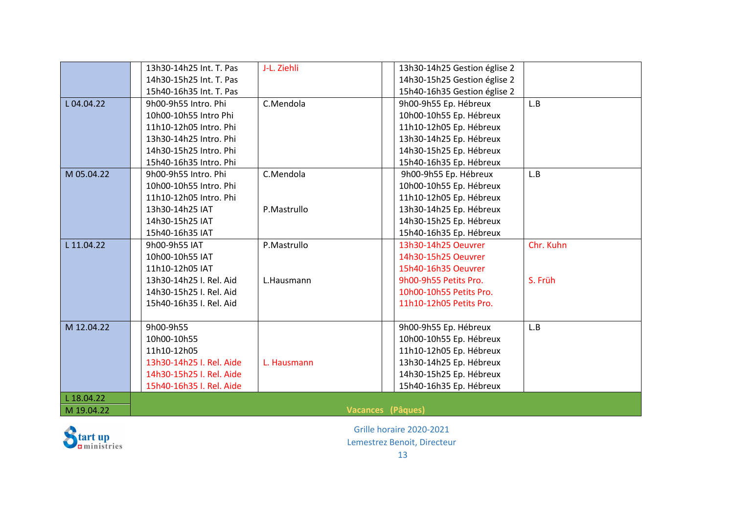|            | 13h30-14h25 Int. T. Pas  | J-L. Ziehli              | 13h30-14h25 Gestion église 2 |           |
|------------|--------------------------|--------------------------|------------------------------|-----------|
|            | 14h30-15h25 Int. T. Pas  |                          | 14h30-15h25 Gestion église 2 |           |
|            | 15h40-16h35 Int. T. Pas  |                          | 15h40-16h35 Gestion église 2 |           |
| L04.04.22  | 9h00-9h55 Intro, Phi     | C.Mendola                | 9h00-9h55 Ep. Hébreux        | L.B       |
|            | 10h00-10h55 Intro Phi    |                          | 10h00-10h55 Ep. Hébreux      |           |
|            | 11h10-12h05 Intro, Phi   |                          | 11h10-12h05 Ep. Hébreux      |           |
|            | 13h30-14h25 Intro, Phi   |                          | 13h30-14h25 Ep. Hébreux      |           |
|            | 14h30-15h25 Intro. Phi   |                          | 14h30-15h25 Ep. Hébreux      |           |
|            | 15h40-16h35 Intro, Phi   |                          | 15h40-16h35 Ep. Hébreux      |           |
| M 05.04.22 | 9h00-9h55 Intro. Phi     | C.Mendola                | 9h00-9h55 Ep. Hébreux        | L.B       |
|            | 10h00-10h55 Intro. Phi   |                          | 10h00-10h55 Ep. Hébreux      |           |
|            | 11h10-12h05 Intro. Phi   |                          | 11h10-12h05 Ep. Hébreux      |           |
|            | 13h30-14h25 IAT          | P.Mastrullo              | 13h30-14h25 Ep. Hébreux      |           |
|            | 14h30-15h25 IAT          |                          | 14h30-15h25 Ep. Hébreux      |           |
|            | 15h40-16h35 IAT          |                          | 15h40-16h35 Ep. Hébreux      |           |
| L 11.04.22 | 9h00-9h55 IAT            | P.Mastrullo              | 13h30-14h25 Oeuvrer          | Chr. Kuhn |
|            | 10h00-10h55 IAT          |                          | 14h30-15h25 Oeuvrer          |           |
|            | 11h10-12h05 IAT          |                          | 15h40-16h35 Oeuvrer          |           |
|            | 13h30-14h25 I. Rel. Aid  | L.Hausmann               | 9h00-9h55 Petits Pro.        | S. Früh   |
|            | 14h30-15h25 I. Rel. Aid  |                          | 10h00-10h55 Petits Pro.      |           |
|            | 15h40-16h35 I. Rel. Aid  |                          | 11h10-12h05 Petits Pro.      |           |
|            |                          |                          |                              |           |
| M 12.04.22 | 9h00-9h55                |                          | 9h00-9h55 Ep. Hébreux        | L.B       |
|            | 10h00-10h55              |                          | 10h00-10h55 Ep. Hébreux      |           |
|            | 11h10-12h05              |                          | 11h10-12h05 Ep. Hébreux      |           |
|            | 13h30-14h25 I. Rel. Aide | L. Hausmann              | 13h30-14h25 Ep. Hébreux      |           |
|            | 14h30-15h25 I. Rel. Aide |                          | 14h30-15h25 Ep. Hébreux      |           |
|            | 15h40-16h35 I. Rel. Aide |                          | 15h40-16h35 Ep. Hébreux      |           |
| L 18.04.22 |                          |                          |                              |           |
| M 19.04.22 |                          | <b>Vacances (Pâques)</b> |                              |           |

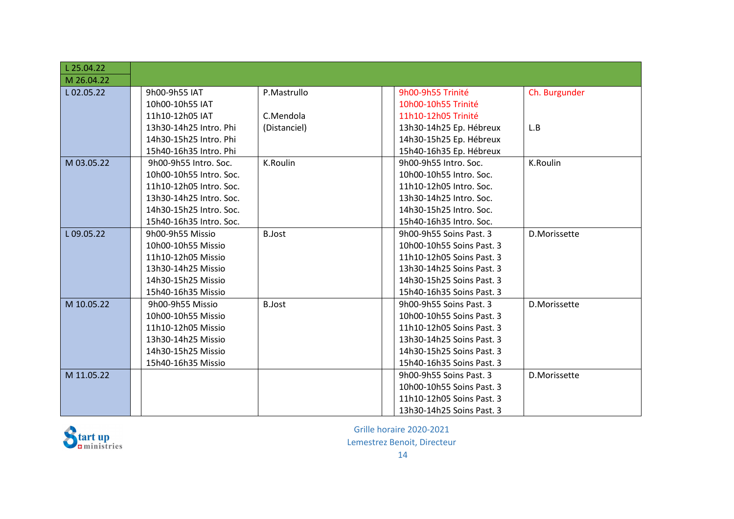| L 25.04.22 |                         |                 |                           |               |
|------------|-------------------------|-----------------|---------------------------|---------------|
| M 26.04.22 |                         |                 |                           |               |
| L02.05.22  | 9h00-9h55 IAT           | P.Mastrullo     | 9h00-9h55 Trinité         | Ch. Burgunder |
|            | 10h00-10h55 IAT         |                 | 10h00-10h55 Trinité       |               |
|            | 11h10-12h05 IAT         | C.Mendola       | 11h10-12h05 Trinité       |               |
|            | 13h30-14h25 Intro. Phi  | (Distanciel)    | 13h30-14h25 Ep. Hébreux   | L.B           |
|            | 14h30-15h25 Intro. Phi  |                 | 14h30-15h25 Ep. Hébreux   |               |
|            | 15h40-16h35 Intro. Phi  |                 | 15h40-16h35 Ep. Hébreux   |               |
| M 03.05.22 | 9h00-9h55 Intro. Soc.   | <b>K.Roulin</b> | 9h00-9h55 Intro. Soc.     | K.Roulin      |
|            | 10h00-10h55 Intro. Soc. |                 | 10h00-10h55 Intro. Soc.   |               |
|            | 11h10-12h05 Intro. Soc. |                 | 11h10-12h05 Intro. Soc.   |               |
|            | 13h30-14h25 Intro. Soc. |                 | 13h30-14h25 Intro. Soc.   |               |
|            | 14h30-15h25 Intro. Soc. |                 | 14h30-15h25 Intro. Soc.   |               |
|            | 15h40-16h35 Intro. Soc. |                 | 15h40-16h35 Intro. Soc.   |               |
| L09.05.22  | 9h00-9h55 Missio        | <b>B.Jost</b>   | 9h00-9h55 Soins Past. 3   | D.Morissette  |
|            | 10h00-10h55 Missio      |                 | 10h00-10h55 Soins Past. 3 |               |
|            | 11h10-12h05 Missio      |                 | 11h10-12h05 Soins Past. 3 |               |
|            | 13h30-14h25 Missio      |                 | 13h30-14h25 Soins Past. 3 |               |
|            | 14h30-15h25 Missio      |                 | 14h30-15h25 Soins Past. 3 |               |
|            | 15h40-16h35 Missio      |                 | 15h40-16h35 Soins Past. 3 |               |
| M 10.05.22 | 9h00-9h55 Missio        | <b>B.Jost</b>   | 9h00-9h55 Soins Past, 3   | D.Morissette  |
|            | 10h00-10h55 Missio      |                 | 10h00-10h55 Soins Past. 3 |               |
|            | 11h10-12h05 Missio      |                 | 11h10-12h05 Soins Past. 3 |               |
|            | 13h30-14h25 Missio      |                 | 13h30-14h25 Soins Past. 3 |               |
|            | 14h30-15h25 Missio      |                 | 14h30-15h25 Soins Past. 3 |               |
|            | 15h40-16h35 Missio      |                 | 15h40-16h35 Soins Past. 3 |               |
| M 11.05.22 |                         |                 | 9h00-9h55 Soins Past. 3   | D.Morissette  |
|            |                         |                 | 10h00-10h55 Soins Past. 3 |               |
|            |                         |                 | 11h10-12h05 Soins Past. 3 |               |
|            |                         |                 | 13h30-14h25 Soins Past. 3 |               |

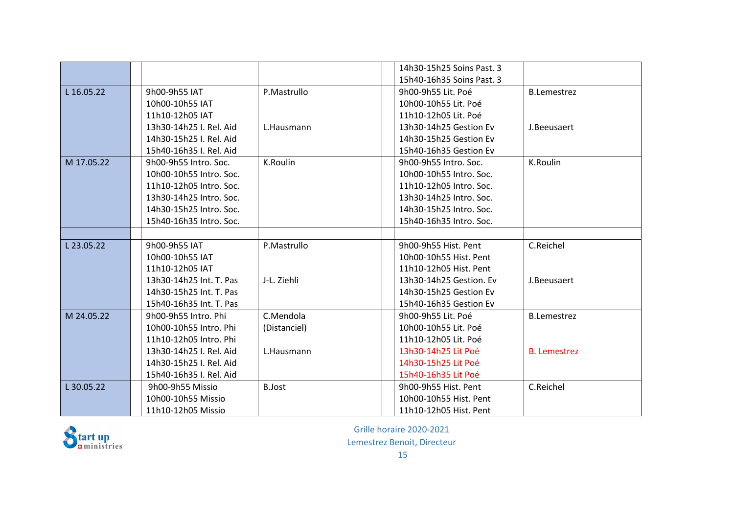|            |                         |               | 14h30-15h25 Soins Past. 3 |                     |
|------------|-------------------------|---------------|---------------------------|---------------------|
|            |                         |               | 15h40-16h35 Soins Past, 3 |                     |
| L 16.05.22 | 9h00-9h55 IAT           | P.Mastrullo   | 9h00-9h55 Lit. Poé        | <b>B.Lemestrez</b>  |
|            | 10h00-10h55 IAT         |               | 10h00-10h55 Lit. Poé      |                     |
|            | 11h10-12h05 IAT         |               | 11h10-12h05 Lit. Poé      |                     |
|            | 13h30-14h25 I. Rel. Aid | L.Hausmann    | 13h30-14h25 Gestion Ev    | J.Beeusaert         |
|            | 14h30-15h25 I. Rel. Aid |               | 14h30-15h25 Gestion Ev    |                     |
|            | 15h40-16h35 I. Rel. Aid |               | 15h40-16h35 Gestion Ev    |                     |
| M 17.05.22 | 9h00-9h55 Intro. Soc.   | K.Roulin      | 9h00-9h55 Intro. Soc.     | K.Roulin            |
|            | 10h00-10h55 Intro. Soc. |               | 10h00-10h55 Intro. Soc.   |                     |
|            | 11h10-12h05 Intro. Soc. |               | 11h10-12h05 Intro. Soc.   |                     |
|            | 13h30-14h25 Intro. Soc. |               | 13h30-14h25 Intro. Soc.   |                     |
|            | 14h30-15h25 Intro. Soc. |               | 14h30-15h25 Intro. Soc.   |                     |
|            | 15h40-16h35 Intro. Soc. |               | 15h40-16h35 Intro. Soc.   |                     |
|            |                         |               |                           |                     |
| L 23.05.22 | 9h00-9h55 IAT           | P.Mastrullo   | 9h00-9h55 Hist. Pent      | C.Reichel           |
|            | 10h00-10h55 IAT         |               | 10h00-10h55 Hist. Pent    |                     |
|            | 11h10-12h05 IAT         |               | 11h10-12h05 Hist. Pent    |                     |
|            | 13h30-14h25 Int. T. Pas | J-L. Ziehli   | 13h30-14h25 Gestion. Ev   | J.Beeusaert         |
|            | 14h30-15h25 Int. T. Pas |               | 14h30-15h25 Gestion Ev    |                     |
|            | 15h40-16h35 Int. T. Pas |               | 15h40-16h35 Gestion Ev    |                     |
| M 24.05.22 | 9h00-9h55 Intro. Phi    | C.Mendola     | 9h00-9h55 Lit. Poé        | <b>B.Lemestrez</b>  |
|            | 10h00-10h55 Intro. Phi  | (Distanciel)  | 10h00-10h55 Lit. Poé      |                     |
|            | 11h10-12h05 Intro. Phi  |               | 11h10-12h05 Lit. Poé      |                     |
|            | 13h30-14h25 I. Rel. Aid | L.Hausmann    | 13h30-14h25 Lit Poé       | <b>B.</b> Lemestrez |
|            | 14h30-15h25 I. Rel. Aid |               | 14h30-15h25 Lit Poé       |                     |
|            | 15h40-16h35 I. Rel. Aid |               | 15h40-16h35 Lit Poé       |                     |
| L 30.05.22 | 9h00-9h55 Missio        | <b>B.Jost</b> | 9h00-9h55 Hist. Pent      | C.Reichel           |
|            | 10h00-10h55 Missio      |               | 10h00-10h55 Hist. Pent    |                     |
|            | 11h10-12h05 Missio      |               | 11h10-12h05 Hist. Pent    |                     |

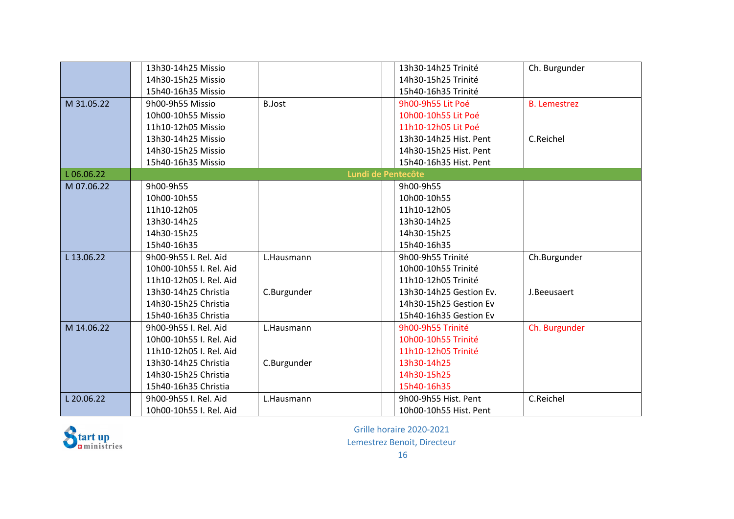|            | 13h30-14h25 Missio      |                    | 13h30-14h25 Trinité     | Ch. Burgunder       |
|------------|-------------------------|--------------------|-------------------------|---------------------|
|            | 14h30-15h25 Missio      |                    | 14h30-15h25 Trinité     |                     |
|            | 15h40-16h35 Missio      |                    | 15h40-16h35 Trinité     |                     |
| M 31.05.22 | 9h00-9h55 Missio        | <b>B.Jost</b>      | 9h00-9h55 Lit Poé       | <b>B.</b> Lemestrez |
|            | 10h00-10h55 Missio      |                    | 10h00-10h55 Lit Poé     |                     |
|            | 11h10-12h05 Missio      |                    | 11h10-12h05 Lit Poé     |                     |
|            | 13h30-14h25 Missio      |                    | 13h30-14h25 Hist. Pent  | C.Reichel           |
|            | 14h30-15h25 Missio      |                    | 14h30-15h25 Hist. Pent  |                     |
|            | 15h40-16h35 Missio      |                    | 15h40-16h35 Hist. Pent  |                     |
| L06.06.22  |                         | Lundi de Pentecôte |                         |                     |
| M 07.06.22 | 9h00-9h55               |                    | 9h00-9h55               |                     |
|            | 10h00-10h55             |                    | 10h00-10h55             |                     |
|            | 11h10-12h05             |                    | 11h10-12h05             |                     |
|            | 13h30-14h25             |                    | 13h30-14h25             |                     |
|            | 14h30-15h25             |                    | 14h30-15h25             |                     |
|            | 15h40-16h35             |                    | 15h40-16h35             |                     |
| L 13.06.22 | 9h00-9h55 I. Rel. Aid   | L.Hausmann         | 9h00-9h55 Trinité       | Ch.Burgunder        |
|            | 10h00-10h55 I. Rel. Aid |                    | 10h00-10h55 Trinité     |                     |
|            | 11h10-12h05 I. Rel. Aid |                    | 11h10-12h05 Trinité     |                     |
|            | 13h30-14h25 Christia    | C.Burgunder        | 13h30-14h25 Gestion Ev. | J.Beeusaert         |
|            | 14h30-15h25 Christia    |                    | 14h30-15h25 Gestion Ev  |                     |
|            | 15h40-16h35 Christia    |                    | 15h40-16h35 Gestion Ev  |                     |
| M 14.06.22 | 9h00-9h55 I. Rel. Aid   | L.Hausmann         | 9h00-9h55 Trinité       | Ch. Burgunder       |
|            | 10h00-10h55 I. Rel. Aid |                    | 10h00-10h55 Trinité     |                     |
|            | 11h10-12h05 I. Rel. Aid |                    | 11h10-12h05 Trinité     |                     |
|            | 13h30-14h25 Christia    | C.Burgunder        | 13h30-14h25             |                     |
|            | 14h30-15h25 Christia    |                    | 14h30-15h25             |                     |
|            | 15h40-16h35 Christia    |                    | 15h40-16h35             |                     |
| L 20.06.22 | 9h00-9h55 I. Rel. Aid   | L.Hausmann         | 9h00-9h55 Hist. Pent    | C.Reichel           |
|            | 10h00-10h55 I. Rel. Aid |                    | 10h00-10h55 Hist. Pent  |                     |